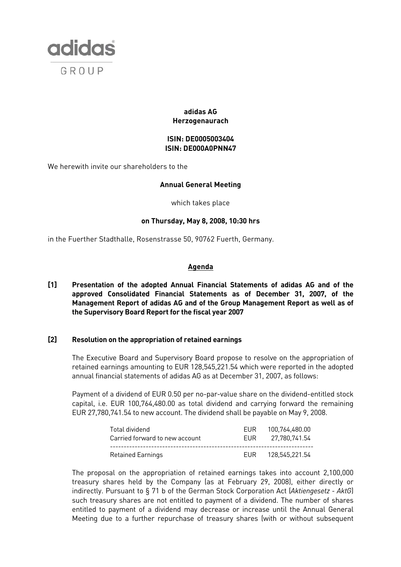

## **adidas AG Herzogenaurach**

## **ISIN: DE0005003404 ISIN: DE000A0PNN47**

We herewith invite our shareholders to the

## **Annual General Meeting**

which takes place

#### **on Thursday, May 8, 2008, 10:30 hrs**

in the Fuerther Stadthalle, Rosenstrasse 50, 90762 Fuerth, Germany.

#### **Agenda**

**[1] Presentation of the adopted Annual Financial Statements of adidas AG and of the approved Consolidated Financial Statements as of December 31, 2007, of the Management Report of adidas AG and of the Group Management Report as well as of the Supervisory Board Report for the fiscal year 2007** 

## **[2] Resolution on the appropriation of retained earnings**

The Executive Board and Supervisory Board propose to resolve on the appropriation of retained earnings amounting to EUR 128,545,221.54 which were reported in the adopted annual financial statements of adidas AG as at December 31, 2007, as follows:

 Payment of a dividend of EUR 0.50 per no-par-value share on the dividend-entitled stock capital, i.e. EUR 100,764,480.00 as total dividend and carrying forward the remaining EUR 27,780,741.54 to new account. The dividend shall be payable on May 9, 2008.

| Total dividend                 | FUR. | 100.764.480.00 |
|--------------------------------|------|----------------|
| Carried forward to new account | FUR  | 27.780.741.54  |
| Retained Earnings              |      |                |

 The proposal on the appropriation of retained earnings takes into account 2,100,000 treasury shares held by the Company (as at February 29, 2008), either directly or indirectly. Pursuant to § 71 b of the German Stock Corporation Act (*Aktiengesetz - AktG*) such treasury shares are not entitled to payment of a dividend. The number of shares entitled to payment of a dividend may decrease or increase until the Annual General Meeting due to a further repurchase of treasury shares (with or without subsequent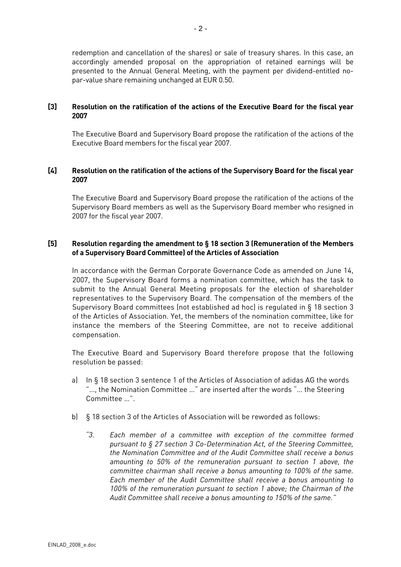redemption and cancellation of the shares) or sale of treasury shares. In this case, an accordingly amended proposal on the appropriation of retained earnings will be presented to the Annual General Meeting, with the payment per dividend-entitled nopar-value share remaining unchanged at EUR 0.50.

### **[3] Resolution on the ratification of the actions of the Executive Board for the fiscal year 2007**

The Executive Board and Supervisory Board propose the ratification of the actions of the Executive Board members for the fiscal year 2007.

## **[4] Resolution on the ratification of the actions of the Supervisory Board for the fiscal year 2007**

The Executive Board and Supervisory Board propose the ratification of the actions of the Supervisory Board members as well as the Supervisory Board member who resigned in 2007 for the fiscal year 2007.

#### **[5] Resolution regarding the amendment to § 18 section 3 (Remuneration of the Members of a Supervisory Board Committee) of the Articles of Association**

In accordance with the German Corporate Governance Code as amended on June 14, 2007, the Supervisory Board forms a nomination committee, which has the task to submit to the Annual General Meeting proposals for the election of shareholder representatives to the Supervisory Board. The compensation of the members of the Supervisory Board committees (not established ad hoc) is regulated in § 18 section 3 of the Articles of Association. Yet, the members of the nomination committee, like for instance the members of the Steering Committee, are not to receive additional compensation.

The Executive Board and Supervisory Board therefore propose that the following resolution be passed:

- a) In § 18 section 3 sentence 1 of the Articles of Association of adidas AG the words "…, the Nomination Committee …" are inserted after the words "… the Steering Committee …".
- b) § 18 section 3 of the Articles of Association will be reworded as follows:
	- *"3. Each member of a committee with exception of the committee formed pursuant to § 27 section 3 Co-Determination Act, of the Steering Committee, the Nomination Committee and of the Audit Committee shall receive a bonus amounting to 50% of the remuneration pursuant to section 1 above, the committee chairman shall receive a bonus amounting to 100% of the same. Each member of the Audit Committee shall receive a bonus amounting to 100% of the remuneration pursuant to section 1 above; the Chairman of the Audit Committee shall receive a bonus amounting to 150% of the same."*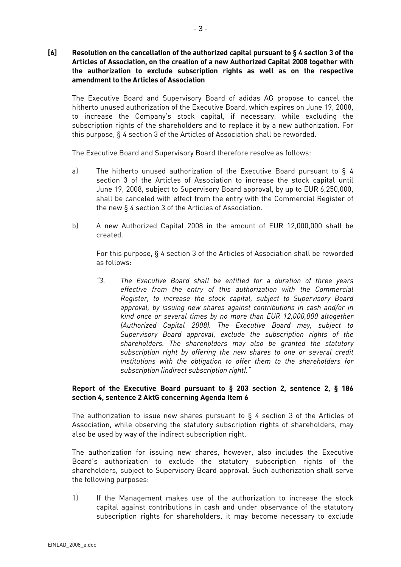**[6] Resolution on the cancellation of the authorized capital pursuant to § 4 section 3 of the Articles of Association, on the creation of a new Authorized Capital 2008 together with the authorization to exclude subscription rights as well as on the respective amendment to the Articles of Association** 

The Executive Board and Supervisory Board of adidas AG propose to cancel the hitherto unused authorization of the Executive Board, which expires on June 19, 2008, to increase the Company's stock capital, if necessary, while excluding the subscription rights of the shareholders and to replace it by a new authorization. For this purpose, § 4 section 3 of the Articles of Association shall be reworded.

The Executive Board and Supervisory Board therefore resolve as follows:

- a) The hitherto unused authorization of the Executive Board pursuant to § 4 section 3 of the Articles of Association to increase the stock capital until June 19, 2008, subject to Supervisory Board approval, by up to EUR 6,250,000, shall be canceled with effect from the entry with the Commercial Register of the new § 4 section 3 of the Articles of Association.
- b) A new Authorized Capital 2008 in the amount of EUR 12,000,000 shall be created.

 For this purpose, § 4 section 3 of the Articles of Association shall be reworded as follows:

*"3. The Executive Board shall be entitled for a duration of three years effective from the entry of this authorization with the Commercial Register, to increase the stock capital, subject to Supervisory Board approval, by issuing new shares against contributions in cash and/or in kind once or several times by no more than EUR 12,000,000 altogether (Authorized Capital 2008). The Executive Board may, subject to Supervisory Board approval, exclude the subscription rights of the shareholders. The shareholders may also be granted the statutory subscription right by offering the new shares to one or several credit institutions with the obligation to offer them to the shareholders for subscription (indirect subscription right)."* 

## **Report of the Executive Board pursuant to § 203 section 2, sentence 2, § 186 section 4, sentence 2 AktG concerning Agenda Item 6**

The authorization to issue new shares pursuant to  $\S$  4 section 3 of the Articles of Association, while observing the statutory subscription rights of shareholders, may also be used by way of the indirect subscription right.

The authorization for issuing new shares, however, also includes the Executive Board's authorization to exclude the statutory subscription rights of the shareholders, subject to Supervisory Board approval. Such authorization shall serve the following purposes:

1) If the Management makes use of the authorization to increase the stock capital against contributions in cash and under observance of the statutory subscription rights for shareholders, it may become necessary to exclude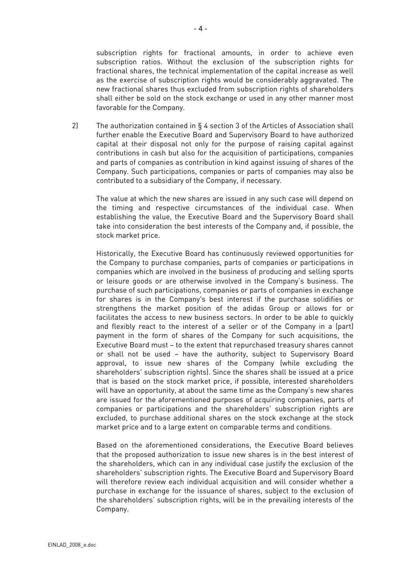subscription rights for fractional amounts, in order to achieve even subscription ratios. Without the exclusion of the subscription rights for fractional shares, the technical implementation of the capital increase as well as the exercise of subscription rights would be considerably aggravated. The new fractional shares thus excluded from subscription rights of shareholders shall either be sold on the stock exchange or used in any other manner most favorable for the Company.

2) The authorization contained in § 4 section 3 of the Articles of Association shall further enable the Executive Board and Supervisory Board to have authorized capital at their disposal not only for the purpose of raising capital against contributions in cash but also for the acquisition of participations, companies and parts of companies as contribution in kind against issuing of shares of the Company. Such participations, companies or parts of companies may also be contributed to a subsidiary of the Company, if necessary.

 The value at which the new shares are issued in any such case will depend on the timing and respective circumstances of the individual case. When establishing the value, the Executive Board and the Supervisory Board shall take into consideration the best interests of the Company and, if possible, the stock market price.

Historically, the Executive Board has continuously reviewed opportunities for the Company to purchase companies, parts of companies or participations in companies which are involved in the business of producing and selling sports or leisure goods or are otherwise involved in the Company's business. The purchase of such participations, companies or parts of companies in exchange for shares is in the Company's best interest if the purchase solidifies or strengthens the market position of the adidas Group or allows for or facilitates the access to new business sectors. In order to be able to quickly and flexibly react to the interest of a seller or of the Company in a (part) payment in the form of shares of the Company for such acquisitions, the Executive Board must – to the extent that repurchased treasury shares cannot or shall not be used – have the authority, subject to Supervisory Board approval, to issue new shares of the Company (while excluding the shareholders' subscription rights). Since the shares shall be issued at a price that is based on the stock market price, if possible, interested shareholders will have an opportunity, at about the same time as the Company's new shares are issued for the aforementioned purposes of acquiring companies, parts of companies or participations and the shareholders' subscription rights are excluded, to purchase additional shares on the stock exchange at the stock market price and to a large extent on comparable terms and conditions.

Based on the aforementioned considerations, the Executive Board believes that the proposed authorization to issue new shares is in the best interest of the shareholders, which can in any individual case justify the exclusion of the shareholders' subscription rights. The Executive Board and Supervisory Board will therefore review each individual acquisition and will consider whether a purchase in exchange for the issuance of shares, subject to the exclusion of the shareholders' subscription rights, will be in the prevailing interests of the Company.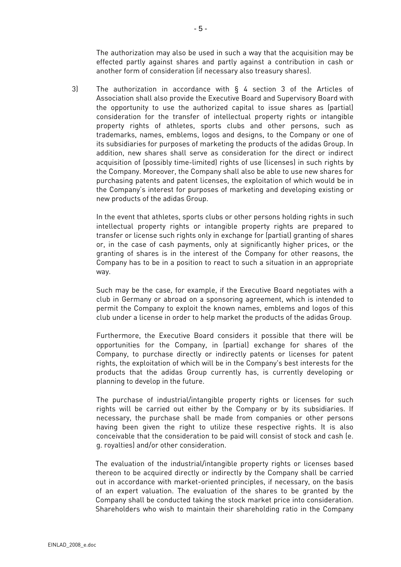The authorization may also be used in such a way that the acquisition may be effected partly against shares and partly against a contribution in cash or another form of consideration (if necessary also treasury shares).

3) The authorization in accordance with § 4 section 3 of the Articles of Association shall also provide the Executive Board and Supervisory Board with the opportunity to use the authorized capital to issue shares as (partial) consideration for the transfer of intellectual property rights or intangible property rights of athletes, sports clubs and other persons, such as trademarks, names, emblems, logos and designs, to the Company or one of its subsidiaries for purposes of marketing the products of the adidas Group. In addition, new shares shall serve as consideration for the direct or indirect acquisition of (possibly time-limited) rights of use (licenses) in such rights by the Company. Moreover, the Company shall also be able to use new shares for purchasing patents and patent licenses, the exploitation of which would be in the Company's interest for purposes of marketing and developing existing or new products of the adidas Group.

In the event that athletes, sports clubs or other persons holding rights in such intellectual property rights or intangible property rights are prepared to transfer or license such rights only in exchange for (partial) granting of shares or, in the case of cash payments, only at significantly higher prices, or the granting of shares is in the interest of the Company for other reasons, the Company has to be in a position to react to such a situation in an appropriate way.

Such may be the case, for example, if the Executive Board negotiates with a club in Germany or abroad on a sponsoring agreement, which is intended to permit the Company to exploit the known names, emblems and logos of this club under a license in order to help market the products of the adidas Group.

Furthermore, the Executive Board considers it possible that there will be opportunities for the Company, in (partial) exchange for shares of the Company, to purchase directly or indirectly patents or licenses for patent rights, the exploitation of which will be in the Company's best interests for the products that the adidas Group currently has, is currently developing or planning to develop in the future.

The purchase of industrial/intangible property rights or licenses for such rights will be carried out either by the Company or by its subsidiaries. If necessary, the purchase shall be made from companies or other persons having been given the right to utilize these respective rights. It is also conceivable that the consideration to be paid will consist of stock and cash (e. g. royalties) and/or other consideration.

The evaluation of the industrial/intangible property rights or licenses based thereon to be acquired directly or indirectly by the Company shall be carried out in accordance with market-oriented principles, if necessary, on the basis of an expert valuation. The evaluation of the shares to be granted by the Company shall be conducted taking the stock market price into consideration. Shareholders who wish to maintain their shareholding ratio in the Company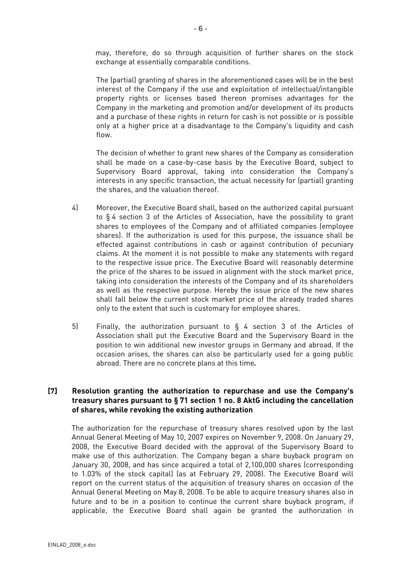may, therefore, do so through acquisition of further shares on the stock exchange at essentially comparable conditions.

The (partial) granting of shares in the aforementioned cases will be in the best interest of the Company if the use and exploitation of intellectual/intangible property rights or licenses based thereon promises advantages for the Company in the marketing and promotion and/or development of its products and a purchase of these rights in return for cash is not possible or is possible only at a higher price at a disadvantage to the Company's liquidity and cash flow.

The decision of whether to grant new shares of the Company as consideration shall be made on a case-by-case basis by the Executive Board, subject to Supervisory Board approval, taking into consideration the Company's interests in any specific transaction, the actual necessity for (partial) granting the shares, and the valuation thereof.

- 4) Moreover, the Executive Board shall, based on the authorized capital pursuant to § 4 section 3 of the Articles of Association, have the possibility to grant shares to employees of the Company and of affiliated companies (employee shares). If the authorization is used for this purpose, the issuance shall be effected against contributions in cash or against contribution of pecuniary claims. At the moment it is not possible to make any statements with regard to the respective issue price. The Executive Board will reasonably determine the price of the shares to be issued in alignment with the stock market price, taking into consideration the interests of the Company and of its shareholders as well as the respective purpose. Hereby the issue price of the new shares shall fall below the current stock market price of the already traded shares only to the extent that such is customary for employee shares.
- 5) Finally, the authorization pursuant to § 4 section 3 of the Articles of Association shall put the Executive Board and the Supervisory Board in the position to win additional new investor groups in Germany and abroad. If the occasion arises, the shares can also be particularly used for a going public abroad. There are no concrete plans at this time*.*

# **[7] Resolution granting the authorization to repurchase and use the Company's treasury shares pursuant to § 71 section 1 no. 8 AktG including the cancellation of shares, while revoking the existing authorization**

The authorization for the repurchase of treasury shares resolved upon by the last Annual General Meeting of May 10, 2007 expires on November 9, 2008. On January 29, 2008, the Executive Board decided with the approval of the Supervisory Board to make use of this authorization. The Company began a share buyback program on January 30, 2008, and has since acquired a total of 2,100,000 shares (corresponding to 1.03% of the stock capital) (as at February 29, 2008). The Executive Board will report on the current status of the acquisition of treasury shares on occasion of the Annual General Meeting on May 8, 2008. To be able to acquire treasury shares also in future and to be in a position to continue the current share buyback program, if applicable, the Executive Board shall again be granted the authorization in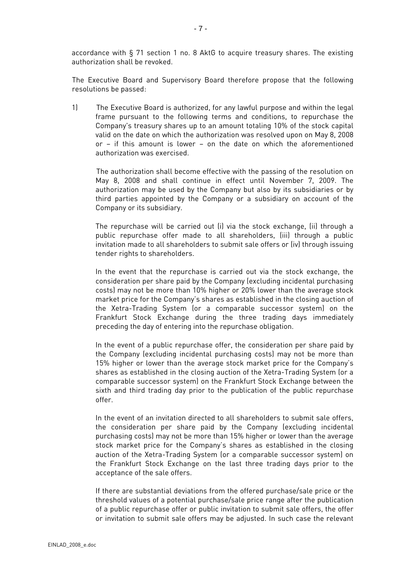accordance with § 71 section 1 no. 8 AktG to acquire treasury shares. The existing authorization shall be revoked.

The Executive Board and Supervisory Board therefore propose that the following resolutions be passed:

1) The Executive Board is authorized, for any lawful purpose and within the legal frame pursuant to the following terms and conditions, to repurchase the Company's treasury shares up to an amount totaling 10% of the stock capital valid on the date on which the authorization was resolved upon on May 8, 2008 or – if this amount is lower – on the date on which the aforementioned authorization was exercised.

 The authorization shall become effective with the passing of the resolution on May 8, 2008 and shall continue in effect until November 7, 2009. The authorization may be used by the Company but also by its subsidiaries or by third parties appointed by the Company or a subsidiary on account of the Company or its subsidiary.

The repurchase will be carried out (i) via the stock exchange, (ii) through a public repurchase offer made to all shareholders, (iii) through a public invitation made to all shareholders to submit sale offers or (iv) through issuing tender rights to shareholders.

In the event that the repurchase is carried out via the stock exchange, the consideration per share paid by the Company (excluding incidental purchasing costs) may not be more than 10% higher or 20% lower than the average stock market price for the Company's shares as established in the closing auction of the Xetra-Trading System (or a comparable successor system) on the Frankfurt Stock Exchange during the three trading days immediately preceding the day of entering into the repurchase obligation.

In the event of a public repurchase offer, the consideration per share paid by the Company (excluding incidental purchasing costs) may not be more than 15% higher or lower than the average stock market price for the Company's shares as established in the closing auction of the Xetra-Trading System (or a comparable successor system) on the Frankfurt Stock Exchange between the sixth and third trading day prior to the publication of the public repurchase offer.

In the event of an invitation directed to all shareholders to submit sale offers, the consideration per share paid by the Company (excluding incidental purchasing costs) may not be more than 15% higher or lower than the average stock market price for the Company's shares as established in the closing auction of the Xetra-Trading System (or a comparable successor system) on the Frankfurt Stock Exchange on the last three trading days prior to the acceptance of the sale offers.

If there are substantial deviations from the offered purchase/sale price or the threshold values of a potential purchase/sale price range after the publication of a public repurchase offer or public invitation to submit sale offers, the offer or invitation to submit sale offers may be adjusted. In such case the relevant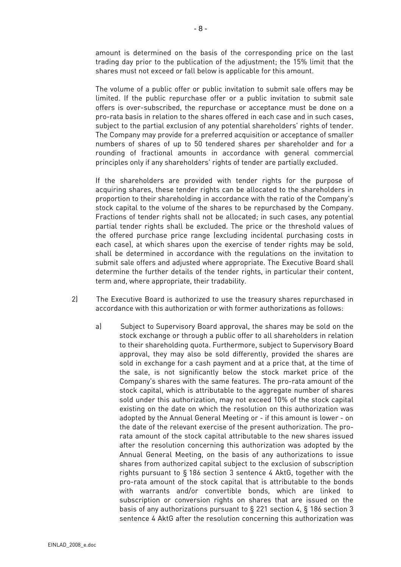amount is determined on the basis of the corresponding price on the last trading day prior to the publication of the adjustment; the 15% limit that the shares must not exceed or fall below is applicable for this amount.

The volume of a public offer or public invitation to submit sale offers may be limited. If the public repurchase offer or a public invitation to submit sale offers is over-subscribed, the repurchase or acceptance must be done on a pro-rata basis in relation to the shares offered in each case and in such cases, subject to the partial exclusion of any potential shareholders' rights of tender. The Company may provide for a preferred acquisition or acceptance of smaller numbers of shares of up to 50 tendered shares per shareholder and for a rounding of fractional amounts in accordance with general commercial principles only if any shareholders' rights of tender are partially excluded.

If the shareholders are provided with tender rights for the purpose of acquiring shares, these tender rights can be allocated to the shareholders in proportion to their shareholding in accordance with the ratio of the Company's stock capital to the volume of the shares to be repurchased by the Company. Fractions of tender rights shall not be allocated; in such cases, any potential partial tender rights shall be excluded. The price or the threshold values of the offered purchase price range (excluding incidental purchasing costs in each case), at which shares upon the exercise of tender rights may be sold, shall be determined in accordance with the regulations on the invitation to submit sale offers and adjusted where appropriate. The Executive Board shall determine the further details of the tender rights, in particular their content, term and, where appropriate, their tradability.

- 2) The Executive Board is authorized to use the treasury shares repurchased in accordance with this authorization or with former authorizations as follows:
	- a) Subject to Supervisory Board approval, the shares may be sold on the stock exchange or through a public offer to all shareholders in relation to their shareholding quota. Furthermore, subject to Supervisory Board approval, they may also be sold differently, provided the shares are sold in exchange for a cash payment and at a price that, at the time of the sale, is not significantly below the stock market price of the Company's shares with the same features. The pro-rata amount of the stock capital, which is attributable to the aggregate number of shares sold under this authorization, may not exceed 10% of the stock capital existing on the date on which the resolution on this authorization was adopted by the Annual General Meeting or - if this amount is lower - on the date of the relevant exercise of the present authorization. The prorata amount of the stock capital attributable to the new shares issued after the resolution concerning this authorization was adopted by the Annual General Meeting, on the basis of any authorizations to issue shares from authorized capital subject to the exclusion of subscription rights pursuant to § 186 section 3 sentence 4 AktG, together with the pro-rata amount of the stock capital that is attributable to the bonds with warrants and/or convertible bonds, which are linked to subscription or conversion rights on shares that are issued on the basis of any authorizations pursuant to § 221 section 4, § 186 section 3 sentence 4 AktG after the resolution concerning this authorization was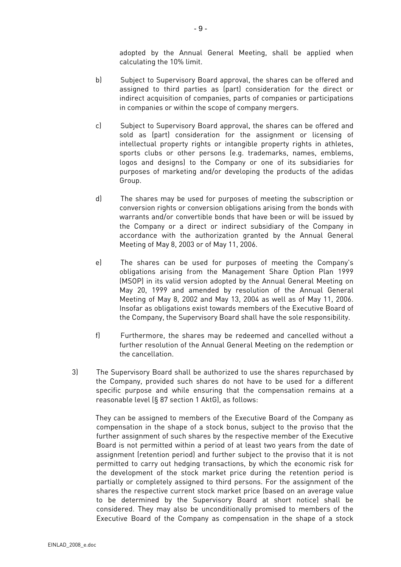adopted by the Annual General Meeting, shall be applied when calculating the 10% limit.

- b) Subject to Supervisory Board approval, the shares can be offered and assigned to third parties as (part) consideration for the direct or indirect acquisition of companies, parts of companies or participations in companies or within the scope of company mergers.
- c) Subject to Supervisory Board approval, the shares can be offered and sold as (part) consideration for the assignment or licensing of intellectual property rights or intangible property rights in athletes, sports clubs or other persons (e.g. trademarks, names, emblems, logos and designs) to the Company or one of its subsidiaries for purposes of marketing and/or developing the products of the adidas Group.
- d) The shares may be used for purposes of meeting the subscription or conversion rights or conversion obligations arising from the bonds with warrants and/or convertible bonds that have been or will be issued by the Company or a direct or indirect subsidiary of the Company in accordance with the authorization granted by the Annual General Meeting of May 8, 2003 or of May 11, 2006.
- e) The shares can be used for purposes of meeting the Company's obligations arising from the Management Share Option Plan 1999 (MSOP) in its valid version adopted by the Annual General Meeting on May 20, 1999 and amended by resolution of the Annual General Meeting of May 8, 2002 and May 13, 2004 as well as of May 11, 2006. Insofar as obligations exist towards members of the Executive Board of the Company, the Supervisory Board shall have the sole responsibility.
- f) Furthermore, the shares may be redeemed and cancelled without a further resolution of the Annual General Meeting on the redemption or the cancellation.
- 3) The Supervisory Board shall be authorized to use the shares repurchased by the Company, provided such shares do not have to be used for a different specific purpose and while ensuring that the compensation remains at a reasonable level (§ 87 section 1 AktG), as follows:

They can be assigned to members of the Executive Board of the Company as compensation in the shape of a stock bonus, subject to the proviso that the further assignment of such shares by the respective member of the Executive Board is not permitted within a period of at least two years from the date of assignment (retention period) and further subject to the proviso that it is not permitted to carry out hedging transactions, by which the economic risk for the development of the stock market price during the retention period is partially or completely assigned to third persons. For the assignment of the shares the respective current stock market price (based on an average value to be determined by the Supervisory Board at short notice) shall be considered. They may also be unconditionally promised to members of the Executive Board of the Company as compensation in the shape of a stock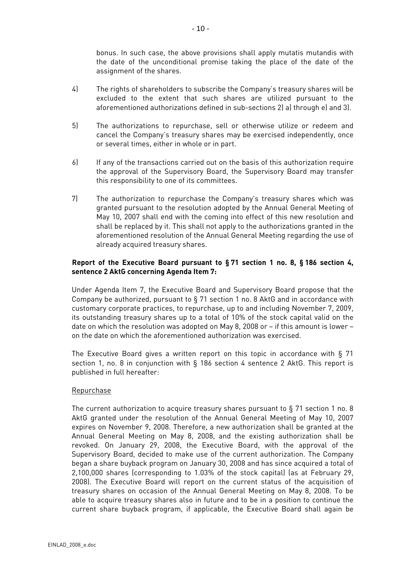bonus. In such case, the above provisions shall apply mutatis mutandis with the date of the unconditional promise taking the place of the date of the assignment of the shares.

- 4) The rights of shareholders to subscribe the Company's treasury shares will be excluded to the extent that such shares are utilized pursuant to the aforementioned authorizations defined in sub-sections 2) a) through e) and 3).
- 5) The authorizations to repurchase, sell or otherwise utilize or redeem and cancel the Company's treasury shares may be exercised independently, once or several times, either in whole or in part.
- 6) If any of the transactions carried out on the basis of this authorization require the approval of the Supervisory Board, the Supervisory Board may transfer this responsibility to one of its committees.
- 7) The authorization to repurchase the Company's treasury shares which was granted pursuant to the resolution adopted by the Annual General Meeting of May 10, 2007 shall end with the coming into effect of this new resolution and shall be replaced by it. This shall not apply to the authorizations granted in the aforementioned resolution of the Annual General Meeting regarding the use of already acquired treasury shares.

# **Report of the Executive Board pursuant to § 71 section 1 no. 8, § 186 section 4, sentence 2 AktG concerning Agenda Item 7:**

Under Agenda Item 7, the Executive Board and Supervisory Board propose that the Company be authorized, pursuant to § 71 section 1 no. 8 AktG and in accordance with customary corporate practices, to repurchase, up to and including November 7, 2009, its outstanding treasury shares up to a total of 10% of the stock capital valid on the date on which the resolution was adopted on May 8, 2008 or – if this amount is lower – on the date on which the aforementioned authorization was exercised.

The Executive Board gives a written report on this topic in accordance with § 71 section 1, no. 8 in conjunction with § 186 section 4 sentence 2 AktG. This report is published in full hereafter:

## Repurchase

The current authorization to acquire treasury shares pursuant to § 71 section 1 no. 8 AktG granted under the resolution of the Annual General Meeting of May 10, 2007 expires on November 9, 2008. Therefore, a new authorization shall be granted at the Annual General Meeting on May 8, 2008, and the existing authorization shall be revoked. On January 29, 2008, the Executive Board, with the approval of the Supervisory Board, decided to make use of the current authorization. The Company began a share buyback program on January 30, 2008 and has since acquired a total of 2,100,000 shares (corresponding to 1.03% of the stock capital) (as at February 29, 2008). The Executive Board will report on the current status of the acquisition of treasury shares on occasion of the Annual General Meeting on May 8, 2008. To be able to acquire treasury shares also in future and to be in a position to continue the current share buyback program, if applicable, the Executive Board shall again be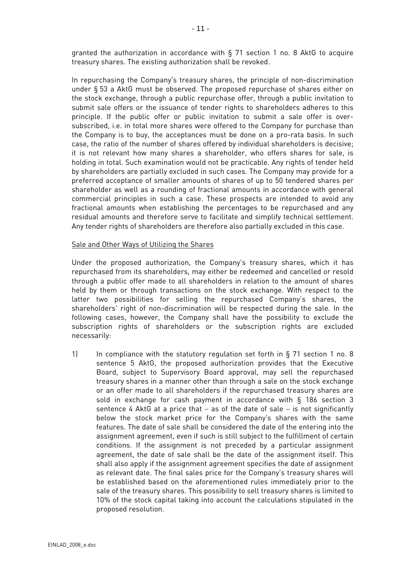granted the authorization in accordance with § 71 section 1 no. 8 AktG to acquire treasury shares. The existing authorization shall be revoked.

In repurchasing the Company's treasury shares, the principle of non-discrimination under § 53 a AktG must be observed. The proposed repurchase of shares either on the stock exchange, through a public repurchase offer, through a public invitation to submit sale offers or the issuance of tender rights to shareholders adheres to this principle. If the public offer or public invitation to submit a sale offer is oversubscribed, i.e. in total more shares were offered to the Company for purchase than the Company is to buy, the acceptances must be done on a pro-rata basis. In such case, the ratio of the number of shares offered by individual shareholders is decisive; it is not relevant how many shares a shareholder, who offers shares for sale, is holding in total. Such examination would not be practicable. Any rights of tender held by shareholders are partially excluded in such cases. The Company may provide for a preferred acceptance of smaller amounts of shares of up to 50 tendered shares per shareholder as well as a rounding of fractional amounts in accordance with general commercial principles in such a case. These prospects are intended to avoid any fractional amounts when establishing the percentages to be repurchased and any residual amounts and therefore serve to facilitate and simplify technical settlement. Any tender rights of shareholders are therefore also partially excluded in this case.

#### Sale and Other Ways of Utilizing the Shares

Under the proposed authorization, the Company's treasury shares, which it has repurchased from its shareholders, may either be redeemed and cancelled or resold through a public offer made to all shareholders in relation to the amount of shares held by them or through transactions on the stock exchange. With respect to the latter two possibilities for selling the repurchased Company's shares, the shareholders' right of non-discrimination will be respected during the sale. In the following cases, however, the Company shall have the possibility to exclude the subscription rights of shareholders or the subscription rights are excluded necessarily:

1) In compliance with the statutory regulation set forth in § 71 section 1 no. 8 sentence 5 AktG, the proposed authorization provides that the Executive Board, subject to Supervisory Board approval, may sell the repurchased treasury shares in a manner other than through a sale on the stock exchange or an offer made to all shareholders if the repurchased treasury shares are sold in exchange for cash payment in accordance with § 186 section 3 sentence 4 AktG at a price that − as of the date of sale − is not significantly below the stock market price for the Company's shares with the same features. The date of sale shall be considered the date of the entering into the assignment agreement, even if such is still subject to the fulfillment of certain conditions. If the assignment is not preceded by a particular assignment agreement, the date of sale shall be the date of the assignment itself. This shall also apply if the assignment agreement specifies the date of assignment as relevant date. The final sales price for the Company's treasury shares will be established based on the aforementioned rules immediately prior to the sale of the treasury shares. This possibility to sell treasury shares is limited to 10% of the stock capital taking into account the calculations stipulated in the proposed resolution.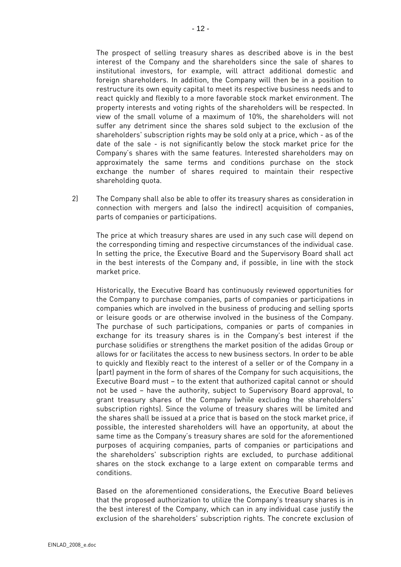The prospect of selling treasury shares as described above is in the best interest of the Company and the shareholders since the sale of shares to institutional investors, for example, will attract additional domestic and foreign shareholders. In addition, the Company will then be in a position to restructure its own equity capital to meet its respective business needs and to react quickly and flexibly to a more favorable stock market environment. The property interests and voting rights of the shareholders will be respected. In view of the small volume of a maximum of 10%, the shareholders will not suffer any detriment since the shares sold subject to the exclusion of the shareholders' subscription rights may be sold only at a price, which - as of the date of the sale - is not significantly below the stock market price for the Company's shares with the same features. Interested shareholders may on approximately the same terms and conditions purchase on the stock exchange the number of shares required to maintain their respective shareholding quota.

2) The Company shall also be able to offer its treasury shares as consideration in connection with mergers and (also the indirect) acquisition of companies, parts of companies or participations.

 The price at which treasury shares are used in any such case will depend on the corresponding timing and respective circumstances of the individual case. In setting the price, the Executive Board and the Supervisory Board shall act in the best interests of the Company and, if possible, in line with the stock market price.

Historically, the Executive Board has continuously reviewed opportunities for the Company to purchase companies, parts of companies or participations in companies which are involved in the business of producing and selling sports or leisure goods or are otherwise involved in the business of the Company. The purchase of such participations, companies or parts of companies in exchange for its treasury shares is in the Company's best interest if the purchase solidifies or strengthens the market position of the adidas Group or allows for or facilitates the access to new business sectors. In order to be able to quickly and flexibly react to the interest of a seller or of the Company in a (part) payment in the form of shares of the Company for such acquisitions, the Executive Board must – to the extent that authorized capital cannot or should not be used – have the authority, subject to Supervisory Board approval, to grant treasury shares of the Company (while excluding the shareholders' subscription rights). Since the volume of treasury shares will be limited and the shares shall be issued at a price that is based on the stock market price, if possible, the interested shareholders will have an opportunity, at about the same time as the Company's treasury shares are sold for the aforementioned purposes of acquiring companies, parts of companies or participations and the shareholders' subscription rights are excluded, to purchase additional shares on the stock exchange to a large extent on comparable terms and conditions.

Based on the aforementioned considerations, the Executive Board believes that the proposed authorization to utilize the Company's treasury shares is in the best interest of the Company, which can in any individual case justify the exclusion of the shareholders' subscription rights. The concrete exclusion of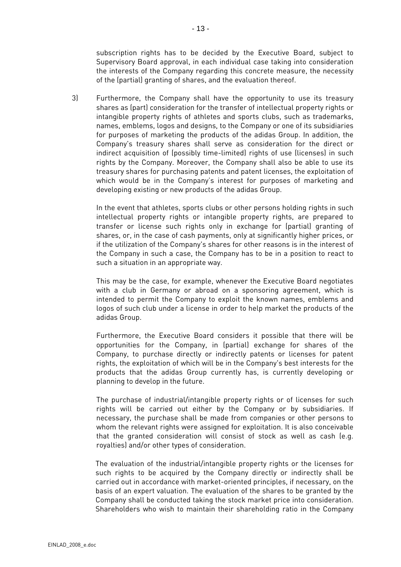subscription rights has to be decided by the Executive Board, subject to Supervisory Board approval, in each individual case taking into consideration the interests of the Company regarding this concrete measure, the necessity of the (partial) granting of shares, and the evaluation thereof.

3) Furthermore, the Company shall have the opportunity to use its treasury shares as (part) consideration for the transfer of intellectual property rights or intangible property rights of athletes and sports clubs, such as trademarks, names, emblems, logos and designs, to the Company or one of its subsidiaries for purposes of marketing the products of the adidas Group. In addition, the Company's treasury shares shall serve as consideration for the direct or indirect acquisition of (possibly time-limited) rights of use (licenses) in such rights by the Company. Moreover, the Company shall also be able to use its treasury shares for purchasing patents and patent licenses, the exploitation of which would be in the Company's interest for purposes of marketing and developing existing or new products of the adidas Group.

In the event that athletes, sports clubs or other persons holding rights in such intellectual property rights or intangible property rights, are prepared to transfer or license such rights only in exchange for (partial) granting of shares, or, in the case of cash payments, only at significantly higher prices, or if the utilization of the Company's shares for other reasons is in the interest of the Company in such a case, the Company has to be in a position to react to such a situation in an appropriate way.

This may be the case, for example, whenever the Executive Board negotiates with a club in Germany or abroad on a sponsoring agreement, which is intended to permit the Company to exploit the known names, emblems and logos of such club under a license in order to help market the products of the adidas Group.

Furthermore, the Executive Board considers it possible that there will be opportunities for the Company, in (partial) exchange for shares of the Company, to purchase directly or indirectly patents or licenses for patent rights, the exploitation of which will be in the Company's best interests for the products that the adidas Group currently has, is currently developing or planning to develop in the future.

The purchase of industrial/intangible property rights or of licenses for such rights will be carried out either by the Company or by subsidiaries. If necessary, the purchase shall be made from companies or other persons to whom the relevant rights were assigned for exploitation. It is also conceivable that the granted consideration will consist of stock as well as cash (e.g. royalties) and/or other types of consideration.

The evaluation of the industrial/intangible property rights or the licenses for such rights to be acquired by the Company directly or indirectly shall be carried out in accordance with market-oriented principles, if necessary, on the basis of an expert valuation. The evaluation of the shares to be granted by the Company shall be conducted taking the stock market price into consideration. Shareholders who wish to maintain their shareholding ratio in the Company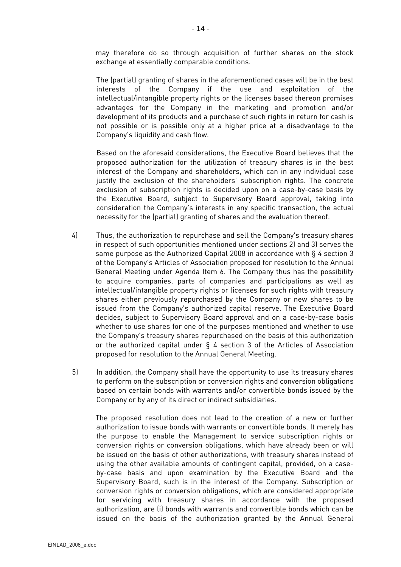may therefore do so through acquisition of further shares on the stock exchange at essentially comparable conditions.

The (partial) granting of shares in the aforementioned cases will be in the best interests of the Company if the use and exploitation of the intellectual/intangible property rights or the licenses based thereon promises advantages for the Company in the marketing and promotion and/or development of its products and a purchase of such rights in return for cash is not possible or is possible only at a higher price at a disadvantage to the Company's liquidity and cash flow.

Based on the aforesaid considerations, the Executive Board believes that the proposed authorization for the utilization of treasury shares is in the best interest of the Company and shareholders, which can in any individual case justify the exclusion of the shareholders' subscription rights. The concrete exclusion of subscription rights is decided upon on a case-by-case basis by the Executive Board, subject to Supervisory Board approval, taking into consideration the Company's interests in any specific transaction, the actual necessity for the (partial) granting of shares and the evaluation thereof.

- 4) Thus, the authorization to repurchase and sell the Company's treasury shares in respect of such opportunities mentioned under sections 2) and 3) serves the same purpose as the Authorized Capital 2008 in accordance with § 4 section 3 of the Company's Articles of Association proposed for resolution to the Annual General Meeting under Agenda Item 6. The Company thus has the possibility to acquire companies, parts of companies and participations as well as intellectual/intangible property rights or licenses for such rights with treasury shares either previously repurchased by the Company or new shares to be issued from the Company's authorized capital reserve. The Executive Board decides, subject to Supervisory Board approval and on a case-by-case basis whether to use shares for one of the purposes mentioned and whether to use the Company's treasury shares repurchased on the basis of this authorization or the authorized capital under § 4 section 3 of the Articles of Association proposed for resolution to the Annual General Meeting.
- 5) In addition, the Company shall have the opportunity to use its treasury shares to perform on the subscription or conversion rights and conversion obligations based on certain bonds with warrants and/or convertible bonds issued by the Company or by any of its direct or indirect subsidiaries.

The proposed resolution does not lead to the creation of a new or further authorization to issue bonds with warrants or convertible bonds. It merely has the purpose to enable the Management to service subscription rights or conversion rights or conversion obligations, which have already been or will be issued on the basis of other authorizations, with treasury shares instead of using the other available amounts of contingent capital, provided, on a caseby-case basis and upon examination by the Executive Board and the Supervisory Board, such is in the interest of the Company. Subscription or conversion rights or conversion obligations, which are considered appropriate for servicing with treasury shares in accordance with the proposed authorization, are (i) bonds with warrants and convertible bonds which can be issued on the basis of the authorization granted by the Annual General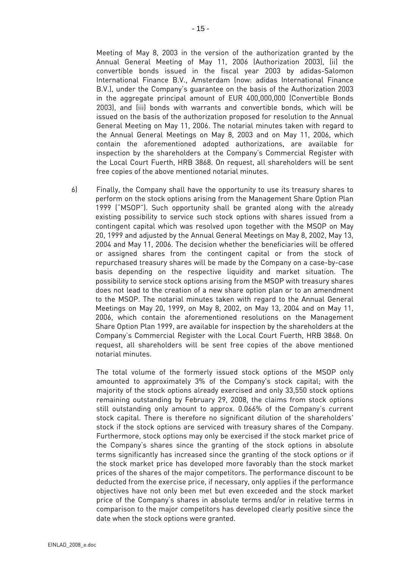Meeting of May 8, 2003 in the version of the authorization granted by the Annual General Meeting of May 11, 2006 (Authorization 2003), (ii) the convertible bonds issued in the fiscal year 2003 by adidas-Salomon International Finance B.V., Amsterdam (now: adidas International Finance B.V.), under the Company's guarantee on the basis of the Authorization 2003 in the aggregate principal amount of EUR 400,000,000 (Convertible Bonds 2003), and (iii) bonds with warrants and convertible bonds, which will be issued on the basis of the authorization proposed for resolution to the Annual General Meeting on May 11, 2006. The notarial minutes taken with regard to the Annual General Meetings on May 8, 2003 and on May 11, 2006, which contain the aforementioned adopted authorizations, are available for inspection by the shareholders at the Company's Commercial Register with the Local Court Fuerth, HRB 3868. On request, all shareholders will be sent free copies of the above mentioned notarial minutes.

6) Finally, the Company shall have the opportunity to use its treasury shares to perform on the stock options arising from the Management Share Option Plan 1999 ("MSOP"). Such opportunity shall be granted along with the already existing possibility to service such stock options with shares issued from a contingent capital which was resolved upon together with the MSOP on May 20, 1999 and adjusted by the Annual General Meetings on May 8, 2002, May 13, 2004 and May 11, 2006. The decision whether the beneficiaries will be offered or assigned shares from the contingent capital or from the stock of repurchased treasury shares will be made by the Company on a case-by-case basis depending on the respective liquidity and market situation. The possibility to service stock options arising from the MSOP with treasury shares does not lead to the creation of a new share option plan or to an amendment to the MSOP. The notarial minutes taken with regard to the Annual General Meetings on May 20, 1999, on May 8, 2002, on May 13, 2004 and on May 11, 2006, which contain the aforementioned resolutions on the Management Share Option Plan 1999, are available for inspection by the shareholders at the Company's Commercial Register with the Local Court Fuerth, HRB 3868. On request, all shareholders will be sent free copies of the above mentioned notarial minutes.

The total volume of the formerly issued stock options of the MSOP only amounted to approximately 3% of the Company's stock capital; with the majority of the stock options already exercised and only 33,550 stock options remaining outstanding by February 29, 2008, the claims from stock options still outstanding only amount to approx. 0.066% of the Company's current stock capital. There is therefore no significant dilution of the shareholders' stock if the stock options are serviced with treasury shares of the Company. Furthermore, stock options may only be exercised if the stock market price of the Company's shares since the granting of the stock options in absolute terms significantly has increased since the granting of the stock options or if the stock market price has developed more favorably than the stock market prices of the shares of the major competitors. The performance discount to be deducted from the exercise price, if necessary, only applies if the performance objectives have not only been met but even exceeded and the stock market price of the Company's shares in absolute terms and/or in relative terms in comparison to the major competitors has developed clearly positive since the date when the stock options were granted.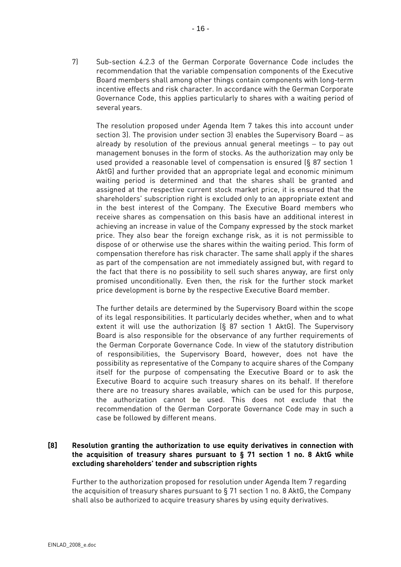7) Sub-section 4.2.3 of the German Corporate Governance Code includes the recommendation that the variable compensation components of the Executive Board members shall among other things contain components with long-term incentive effects and risk character. In accordance with the German Corporate Governance Code, this applies particularly to shares with a waiting period of several years.

 The resolution proposed under Agenda Item 7 takes this into account under section 3). The provision under section 3) enables the Supervisory Board – as already by resolution of the previous annual general meetings − to pay out management bonuses in the form of stocks. As the authorization may only be used provided a reasonable level of compensation is ensured (§ 87 section 1 AktG) and further provided that an appropriate legal and economic minimum waiting period is determined and that the shares shall be granted and assigned at the respective current stock market price, it is ensured that the shareholders' subscription right is excluded only to an appropriate extent and in the best interest of the Company. The Executive Board members who receive shares as compensation on this basis have an additional interest in achieving an increase in value of the Company expressed by the stock market price. They also bear the foreign exchange risk, as it is not permissible to dispose of or otherwise use the shares within the waiting period. This form of compensation therefore has risk character. The same shall apply if the shares as part of the compensation are not immediately assigned but, with regard to the fact that there is no possibility to sell such shares anyway, are first only promised unconditionally. Even then, the risk for the further stock market price development is borne by the respective Executive Board member.

The further details are determined by the Supervisory Board within the scope of its legal responsibilities. It particularly decides whether, when and to what extent it will use the authorization (§ 87 section 1 AktG). The Supervisory Board is also responsible for the observance of any further requirements of the German Corporate Governance Code. In view of the statutory distribution of responsibilities, the Supervisory Board, however, does not have the possibility as representative of the Company to acquire shares of the Company itself for the purpose of compensating the Executive Board or to ask the Executive Board to acquire such treasury shares on its behalf. If therefore there are no treasury shares available, which can be used for this purpose, the authorization cannot be used. This does not exclude that the recommendation of the German Corporate Governance Code may in such a case be followed by different means.

# **[8] Resolution granting the authorization to use equity derivatives in connection with the acquisition of treasury shares pursuant to § 71 section 1 no. 8 AktG while excluding shareholders' tender and subscription rights**

Further to the authorization proposed for resolution under Agenda Item 7 regarding the acquisition of treasury shares pursuant to § 71 section 1 no. 8 AktG, the Company shall also be authorized to acquire treasury shares by using equity derivatives.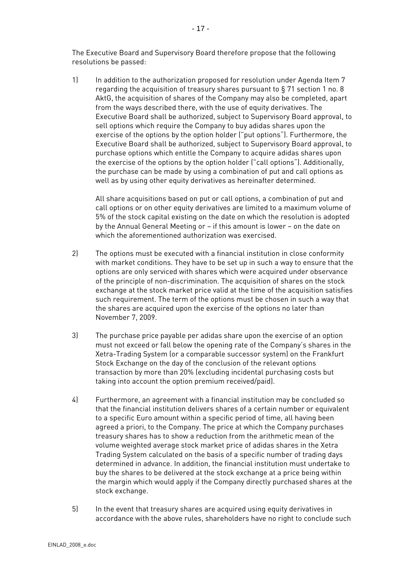The Executive Board and Supervisory Board therefore propose that the following resolutions be passed:

1) In addition to the authorization proposed for resolution under Agenda Item 7 regarding the acquisition of treasury shares pursuant to § 71 section 1 no. 8 AktG, the acquisition of shares of the Company may also be completed, apart from the ways described there, with the use of equity derivatives. The Executive Board shall be authorized, subject to Supervisory Board approval, to sell options which require the Company to buy adidas shares upon the exercise of the options by the option holder ("put options"). Furthermore, the Executive Board shall be authorized, subject to Supervisory Board approval, to purchase options which entitle the Company to acquire adidas shares upon the exercise of the options by the option holder ("call options"). Additionally, the purchase can be made by using a combination of put and call options as well as by using other equity derivatives as hereinafter determined.

All share acquisitions based on put or call options, a combination of put and call options or on other equity derivatives are limited to a maximum volume of 5% of the stock capital existing on the date on which the resolution is adopted by the Annual General Meeting or – if this amount is lower – on the date on which the aforementioned authorization was exercised.

- 2) The options must be executed with a financial institution in close conformity with market conditions. They have to be set up in such a way to ensure that the options are only serviced with shares which were acquired under observance of the principle of non-discrimination. The acquisition of shares on the stock exchange at the stock market price valid at the time of the acquisition satisfies such requirement. The term of the options must be chosen in such a way that the shares are acquired upon the exercise of the options no later than November 7, 2009.
- 3) The purchase price payable per adidas share upon the exercise of an option must not exceed or fall below the opening rate of the Company's shares in the Xetra-Trading System (or a comparable successor system) on the Frankfurt Stock Exchange on the day of the conclusion of the relevant options transaction by more than 20% (excluding incidental purchasing costs but taking into account the option premium received/paid).
- 4) Furthermore, an agreement with a financial institution may be concluded so that the financial institution delivers shares of a certain number or equivalent to a specific Euro amount within a specific period of time, all having been agreed a priori, to the Company. The price at which the Company purchases treasury shares has to show a reduction from the arithmetic mean of the volume weighted average stock market price of adidas shares in the Xetra Trading System calculated on the basis of a specific number of trading days determined in advance. In addition, the financial institution must undertake to buy the shares to be delivered at the stock exchange at a price being within the margin which would apply if the Company directly purchased shares at the stock exchange.
- 5) In the event that treasury shares are acquired using equity derivatives in accordance with the above rules, shareholders have no right to conclude such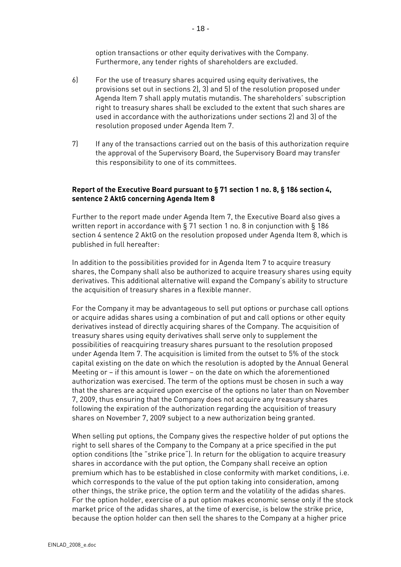option transactions or other equity derivatives with the Company. Furthermore, any tender rights of shareholders are excluded.

- 6) For the use of treasury shares acquired using equity derivatives, the provisions set out in sections 2), 3) and 5) of the resolution proposed under Agenda Item 7 shall apply mutatis mutandis. The shareholders' subscription right to treasury shares shall be excluded to the extent that such shares are used in accordance with the authorizations under sections 2) and 3) of the resolution proposed under Agenda Item 7.
- 7) If any of the transactions carried out on the basis of this authorization require the approval of the Supervisory Board, the Supervisory Board may transfer this responsibility to one of its committees.

# **Report of the Executive Board pursuant to § 71 section 1 no. 8, § 186 section 4, sentence 2 AktG concerning Agenda Item 8**

Further to the report made under Agenda Item 7, the Executive Board also gives a written report in accordance with § 71 section 1 no. 8 in conjunction with § 186 section 4 sentence 2 AktG on the resolution proposed under Agenda Item 8, which is published in full hereafter:

In addition to the possibilities provided for in Agenda Item 7 to acquire treasury shares, the Company shall also be authorized to acquire treasury shares using equity derivatives. This additional alternative will expand the Company's ability to structure the acquisition of treasury shares in a flexible manner.

For the Company it may be advantageous to sell put options or purchase call options or acquire adidas shares using a combination of put and call options or other equity derivatives instead of directly acquiring shares of the Company. The acquisition of treasury shares using equity derivatives shall serve only to supplement the possibilities of reacquiring treasury shares pursuant to the resolution proposed under Agenda Item 7. The acquisition is limited from the outset to 5% of the stock capital existing on the date on which the resolution is adopted by the Annual General Meeting or – if this amount is lower – on the date on which the aforementioned authorization was exercised. The term of the options must be chosen in such a way that the shares are acquired upon exercise of the options no later than on November 7, 2009, thus ensuring that the Company does not acquire any treasury shares following the expiration of the authorization regarding the acquisition of treasury shares on November 7, 2009 subject to a new authorization being granted.

When selling put options, the Company gives the respective holder of put options the right to sell shares of the Company to the Company at a price specified in the put option conditions (the "strike price"). In return for the obligation to acquire treasury shares in accordance with the put option, the Company shall receive an option premium which has to be established in close conformity with market conditions, i.e. which corresponds to the value of the put option taking into consideration, among other things, the strike price, the option term and the volatility of the adidas shares. For the option holder, exercise of a put option makes economic sense only if the stock market price of the adidas shares, at the time of exercise, is below the strike price, because the option holder can then sell the shares to the Company at a higher price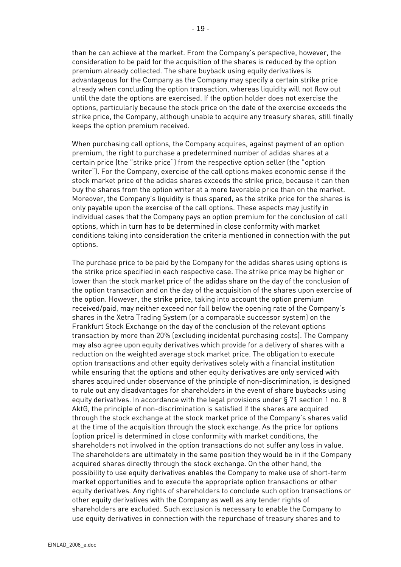than he can achieve at the market. From the Company's perspective, however, the consideration to be paid for the acquisition of the shares is reduced by the option premium already collected. The share buyback using equity derivatives is advantageous for the Company as the Company may specify a certain strike price already when concluding the option transaction, whereas liquidity will not flow out until the date the options are exercised. If the option holder does not exercise the options, particularly because the stock price on the date of the exercise exceeds the strike price, the Company, although unable to acquire any treasury shares, still finally keeps the option premium received.

When purchasing call options, the Company acquires, against payment of an option premium, the right to purchase a predetermined number of adidas shares at a certain price (the "strike price") from the respective option seller (the "option writer"). For the Company, exercise of the call options makes economic sense if the stock market price of the adidas shares exceeds the strike price, because it can then buy the shares from the option writer at a more favorable price than on the market. Moreover, the Company's liquidity is thus spared, as the strike price for the shares is only payable upon the exercise of the call options. These aspects may justify in individual cases that the Company pays an option premium for the conclusion of call options, which in turn has to be determined in close conformity with market conditions taking into consideration the criteria mentioned in connection with the put options.

The purchase price to be paid by the Company for the adidas shares using options is the strike price specified in each respective case. The strike price may be higher or lower than the stock market price of the adidas share on the day of the conclusion of the option transaction and on the day of the acquisition of the shares upon exercise of the option. However, the strike price, taking into account the option premium received/paid, may neither exceed nor fall below the opening rate of the Company's shares in the Xetra Trading System (or a comparable successor system) on the Frankfurt Stock Exchange on the day of the conclusion of the relevant options transaction by more than 20% (excluding incidental purchasing costs). The Company may also agree upon equity derivatives which provide for a delivery of shares with a reduction on the weighted average stock market price. The obligation to execute option transactions and other equity derivatives solely with a financial institution while ensuring that the options and other equity derivatives are only serviced with shares acquired under observance of the principle of non-discrimination, is designed to rule out any disadvantages for shareholders in the event of share buybacks using equity derivatives. In accordance with the legal provisions under § 71 section 1 no. 8 AktG, the principle of non-discrimination is satisfied if the shares are acquired through the stock exchange at the stock market price of the Company's shares valid at the time of the acquisition through the stock exchange. As the price for options (option price) is determined in close conformity with market conditions, the shareholders not involved in the option transactions do not suffer any loss in value. The shareholders are ultimately in the same position they would be in if the Company acquired shares directly through the stock exchange. On the other hand, the possibility to use equity derivatives enables the Company to make use of short-term market opportunities and to execute the appropriate option transactions or other equity derivatives. Any rights of shareholders to conclude such option transactions or other equity derivatives with the Company as well as any tender rights of shareholders are excluded. Such exclusion is necessary to enable the Company to use equity derivatives in connection with the repurchase of treasury shares and to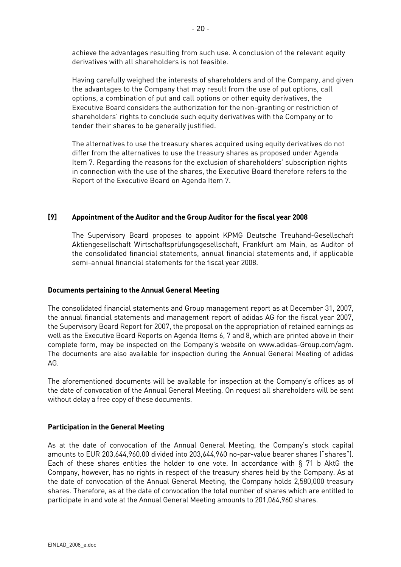achieve the advantages resulting from such use. A conclusion of the relevant equity derivatives with all shareholders is not feasible.

Having carefully weighed the interests of shareholders and of the Company, and given the advantages to the Company that may result from the use of put options, call options, a combination of put and call options or other equity derivatives, the Executive Board considers the authorization for the non-granting or restriction of shareholders' rights to conclude such equity derivatives with the Company or to tender their shares to be generally justified.

The alternatives to use the treasury shares acquired using equity derivatives do not differ from the alternatives to use the treasury shares as proposed under Agenda Item 7. Regarding the reasons for the exclusion of shareholders' subscription rights in connection with the use of the shares, the Executive Board therefore refers to the Report of the Executive Board on Agenda Item 7.

## **[9] Appointment of the Auditor and the Group Auditor for the fiscal year 2008**

 The Supervisory Board proposes to appoint KPMG Deutsche Treuhand-Gesellschaft Aktiengesellschaft Wirtschaftsprüfungsgesellschaft, Frankfurt am Main, as Auditor of the consolidated financial statements, annual financial statements and, if applicable semi-annual financial statements for the fiscal year 2008.

#### **Documents pertaining to the Annual General Meeting**

The consolidated financial statements and Group management report as at December 31, 2007, the annual financial statements and management report of adidas AG for the fiscal year 2007, the Supervisory Board Report for 2007, the proposal on the appropriation of retained earnings as well as the Executive Board Reports on Agenda Items 6, 7 and 8, which are printed above in their complete form, may be inspected on the Company's website on www.adidas-Group.com/agm. The documents are also available for inspection during the Annual General Meeting of adidas AG.

The aforementioned documents will be available for inspection at the Company's offices as of the date of convocation of the Annual General Meeting. On request all shareholders will be sent without delay a free copy of these documents.

## **Participation in the General Meeting**

As at the date of convocation of the Annual General Meeting, the Company's stock capital amounts to EUR 203,644,960.00 divided into 203,644,960 no-par-value bearer shares ("shares"). Each of these shares entitles the holder to one vote. In accordance with § 71 b AktG the Company, however, has no rights in respect of the treasury shares held by the Company. As at the date of convocation of the Annual General Meeting, the Company holds 2,580,000 treasury shares. Therefore, as at the date of convocation the total number of shares which are entitled to participate in and vote at the Annual General Meeting amounts to 201,064,960 shares.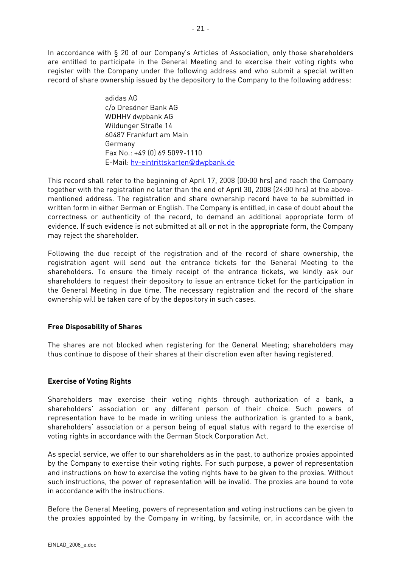In accordance with § 20 of our Company's Articles of Association, only those shareholders are entitled to participate in the General Meeting and to exercise their voting rights who register with the Company under the following address and who submit a special written record of share ownership issued by the depository to the Company to the following address:

> adidas AG c/o Dresdner Bank AG WDHHV dwpbank AG Wildunger Straße 14 60487 Frankfurt am Main Germany Fax No.: +49 (0) 69 5099-1110 E-Mail: hv-eintrittskarten@dwpbank.de

This record shall refer to the beginning of April 17, 2008 (00:00 hrs) and reach the Company together with the registration no later than the end of April 30, 2008 (24:00 hrs) at the abovementioned address. The registration and share ownership record have to be submitted in written form in either German or English. The Company is entitled, in case of doubt about the correctness or authenticity of the record, to demand an additional appropriate form of evidence. If such evidence is not submitted at all or not in the appropriate form, the Company may reject the shareholder.

Following the due receipt of the registration and of the record of share ownership, the registration agent will send out the entrance tickets for the General Meeting to the shareholders. To ensure the timely receipt of the entrance tickets, we kindly ask our shareholders to request their depository to issue an entrance ticket for the participation in the General Meeting in due time. The necessary registration and the record of the share ownership will be taken care of by the depository in such cases.

## **Free Disposability of Shares**

The shares are not blocked when registering for the General Meeting; shareholders may thus continue to dispose of their shares at their discretion even after having registered.

## **Exercise of Voting Rights**

Shareholders may exercise their voting rights through authorization of a bank, a shareholders' association or any different person of their choice. Such powers of representation have to be made in writing unless the authorization is granted to a bank, shareholders' association or a person being of equal status with regard to the exercise of voting rights in accordance with the German Stock Corporation Act.

As special service, we offer to our shareholders as in the past, to authorize proxies appointed by the Company to exercise their voting rights. For such purpose, a power of representation and instructions on how to exercise the voting rights have to be given to the proxies. Without such instructions, the power of representation will be invalid. The proxies are bound to vote in accordance with the instructions.

Before the General Meeting, powers of representation and voting instructions can be given to the proxies appointed by the Company in writing, by facsimile, or, in accordance with the